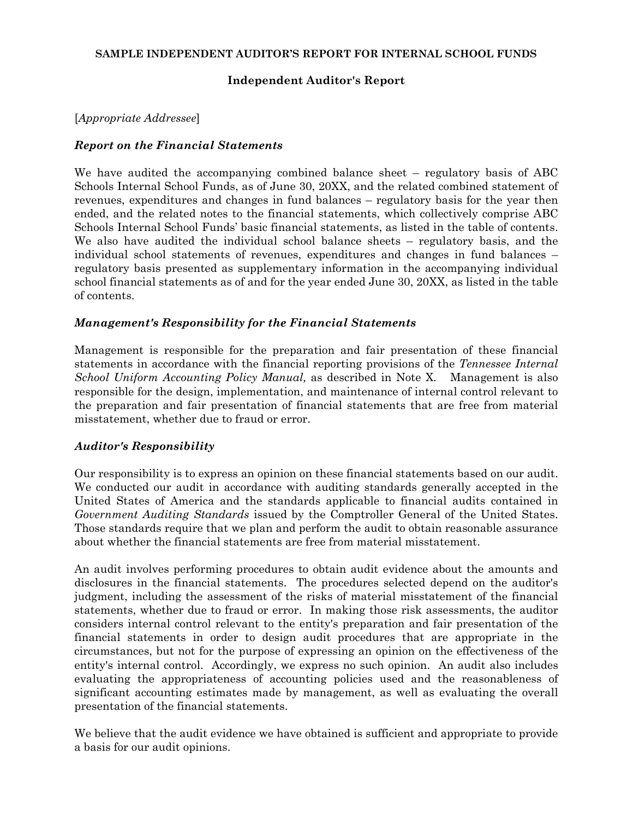# **Independent Auditor's Report**

#### [*Appropriate Addressee*]

#### *Report on the Financial Statements*

We have audited the accompanying combined balance sheet – regulatory basis of ABC Schools Internal School Funds, as of June 30, 20XX, and the related combined statement of revenues, expenditures and changes in fund balances – regulatory basis for the year then ended, and the related notes to the financial statements, which collectively comprise ABC Schools Internal School Funds' basic financial statements, as listed in the table of contents. We also have audited the individual school balance sheets – regulatory basis, and the individual school statements of revenues, expenditures and changes in fund balances – regulatory basis presented as supplementary information in the accompanying individual school financial statements as of and for the year ended June 30, 20XX, as listed in the table of contents.

#### *Management's Responsibility for the Financial Statements*

Management is responsible for the preparation and fair presentation of these financial statements in accordance with the financial reporting provisions of the *Tennessee Internal School Uniform Accounting Policy Manual,* as described in Note X*.* Management is also responsible for the design, implementation, and maintenance of internal control relevant to the preparation and fair presentation of financial statements that are free from material misstatement, whether due to fraud or error.

#### *Auditor's Responsibility*

Our responsibility is to express an opinion on these financial statements based on our audit. We conducted our audit in accordance with auditing standards generally accepted in the United States of America and the standards applicable to financial audits contained in *Government Auditing Standards* issued by the Comptroller General of the United States. Those standards require that we plan and perform the audit to obtain reasonable assurance about whether the financial statements are free from material misstatement.

An audit involves performing procedures to obtain audit evidence about the amounts and disclosures in the financial statements. The procedures selected depend on the auditor's judgment, including the assessment of the risks of material misstatement of the financial statements, whether due to fraud or error. In making those risk assessments, the auditor considers internal control relevant to the entity's preparation and fair presentation of the financial statements in order to design audit procedures that are appropriate in the circumstances, but not for the purpose of expressing an opinion on the effectiveness of the entity's internal control. Accordingly, we express no such opinion. An audit also includes evaluating the appropriateness of accounting policies used and the reasonableness of significant accounting estimates made by management, as well as evaluating the overall presentation of the financial statements.

We believe that the audit evidence we have obtained is sufficient and appropriate to provide a basis for our audit opinions.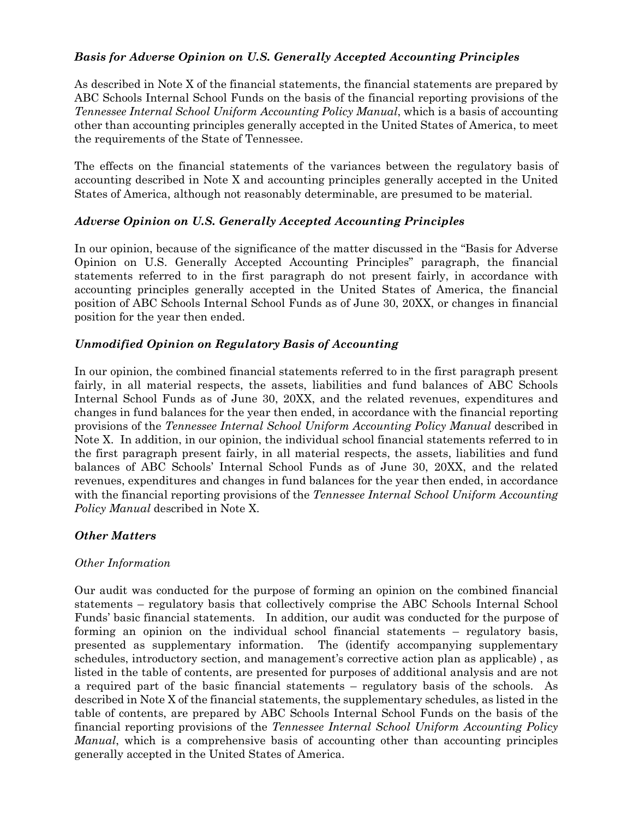# *Basis for Adverse Opinion on U.S. Generally Accepted Accounting Principles*

As described in Note X of the financial statements, the financial statements are prepared by ABC Schools Internal School Funds on the basis of the financial reporting provisions of the *Tennessee Internal School Uniform Accounting Policy Manual*, which is a basis of accounting other than accounting principles generally accepted in the United States of America, to meet the requirements of the State of Tennessee.

The effects on the financial statements of the variances between the regulatory basis of accounting described in Note X and accounting principles generally accepted in the United States of America, although not reasonably determinable, are presumed to be material.

## *Adverse Opinion on U.S. Generally Accepted Accounting Principles*

In our opinion, because of the significance of the matter discussed in the "Basis for Adverse Opinion on U.S. Generally Accepted Accounting Principles" paragraph, the financial statements referred to in the first paragraph do not present fairly, in accordance with accounting principles generally accepted in the United States of America, the financial position of ABC Schools Internal School Funds as of June 30, 20XX, or changes in financial position for the year then ended.

## *Unmodified Opinion on Regulatory Basis of Accounting*

In our opinion, the combined financial statements referred to in the first paragraph present fairly, in all material respects, the assets, liabilities and fund balances of ABC Schools Internal School Funds as of June 30, 20XX, and the related revenues, expenditures and changes in fund balances for the year then ended, in accordance with the financial reporting provisions of the *Tennessee Internal School Uniform Accounting Policy Manual* described in Note X. In addition, in our opinion, the individual school financial statements referred to in the first paragraph present fairly, in all material respects, the assets, liabilities and fund balances of ABC Schools' Internal School Funds as of June 30, 20XX, and the related revenues, expenditures and changes in fund balances for the year then ended, in accordance with the financial reporting provisions of the *Tennessee Internal School Uniform Accounting Policy Manual* described in Note X.

## *Other Matters*

#### *Other Information*

Our audit was conducted for the purpose of forming an opinion on the combined financial statements – regulatory basis that collectively comprise the ABC Schools Internal School Funds' basic financial statements. In addition, our audit was conducted for the purpose of forming an opinion on the individual school financial statements – regulatory basis, presented as supplementary information. The (identify accompanying supplementary schedules, introductory section, and management's corrective action plan as applicable) , as listed in the table of contents, are presented for purposes of additional analysis and are not a required part of the basic financial statements – regulatory basis of the schools. As described in Note X of the financial statements, the supplementary schedules, as listed in the table of contents, are prepared by ABC Schools Internal School Funds on the basis of the financial reporting provisions of the *Tennessee Internal School Uniform Accounting Policy Manual*, which is a comprehensive basis of accounting other than accounting principles generally accepted in the United States of America.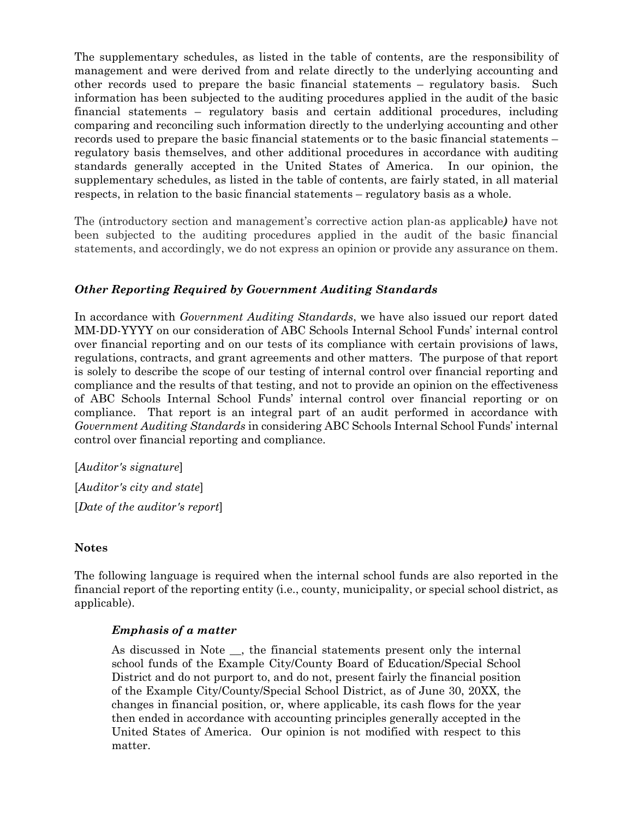The supplementary schedules, as listed in the table of contents, are the responsibility of management and were derived from and relate directly to the underlying accounting and other records used to prepare the basic financial statements – regulatory basis. Such information has been subjected to the auditing procedures applied in the audit of the basic financial statements – regulatory basis and certain additional procedures, including comparing and reconciling such information directly to the underlying accounting and other records used to prepare the basic financial statements or to the basic financial statements – regulatory basis themselves, and other additional procedures in accordance with auditing standards generally accepted in the United States of America. In our opinion, the supplementary schedules, as listed in the table of contents, are fairly stated, in all material respects, in relation to the basic financial statements – regulatory basis as a whole.

The (introductory section and management's corrective action plan-as applicable*)* have not been subjected to the auditing procedures applied in the audit of the basic financial statements, and accordingly, we do not express an opinion or provide any assurance on them.

# *Other Reporting Required by Government Auditing Standards*

In accordance with *Government Auditing Standards*, we have also issued our report dated MM-DD-YYYY on our consideration of ABC Schools Internal School Funds' internal control over financial reporting and on our tests of its compliance with certain provisions of laws, regulations, contracts, and grant agreements and other matters. The purpose of that report is solely to describe the scope of our testing of internal control over financial reporting and compliance and the results of that testing, and not to provide an opinion on the effectiveness of ABC Schools Internal School Funds' internal control over financial reporting or on compliance. That report is an integral part of an audit performed in accordance with *Government Auditing Standards* in considering ABC Schools Internal School Funds' internal control over financial reporting and compliance.

[*Auditor's signature*] [*Auditor's city and state*] [*Date of the auditor's report*]

## **Notes**

The following language is required when the internal school funds are also reported in the financial report of the reporting entity (i.e., county, municipality, or special school district, as applicable).

## *Emphasis of a matter*

As discussed in Note \_\_, the financial statements present only the internal school funds of the Example City/County Board of Education/Special School District and do not purport to, and do not, present fairly the financial position of the Example City/County/Special School District, as of June 30, 20XX, the changes in financial position, or, where applicable, its cash flows for the year then ended in accordance with accounting principles generally accepted in the United States of America. Our opinion is not modified with respect to this matter.